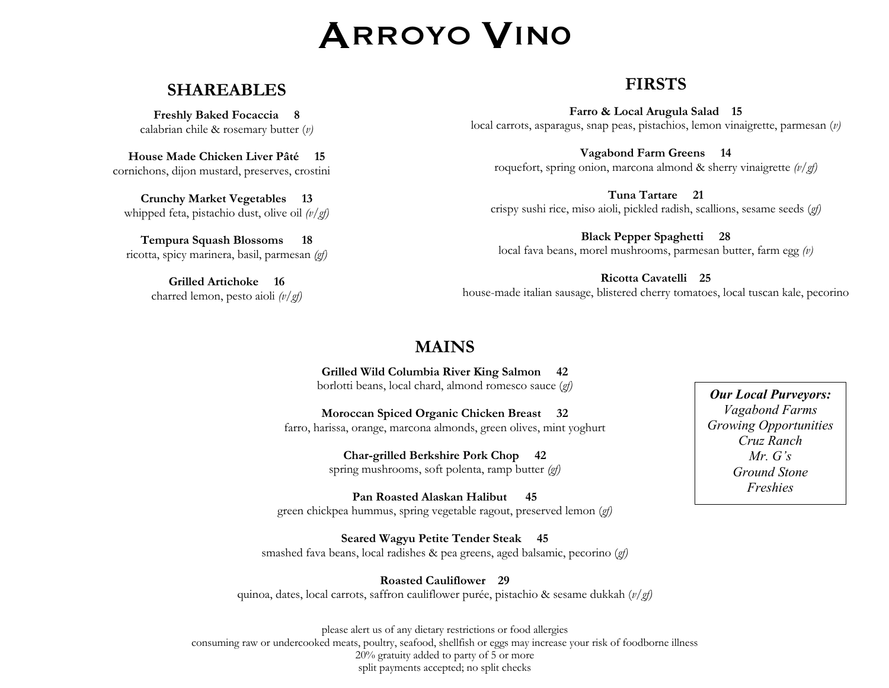## ARROYO VIN0

### **SHAREABLES**

**Freshly Baked Focaccia 8** calabrian chile & rosemary butter (*v)*

**House Made Chicken Liver Pâté 15** cornichons, dijon mustard, preserves, crostini

**Crunchy Market Vegetables 13** whipped feta, pistachio dust, olive oil *(v/gf)*

**Tempura Squash Blossoms 18** ricotta, spicy marinera, basil, parmesan *(gf)*

> **Grilled Artichoke 16** charred lemon, pesto aioli *(v/gf)*

### **FIRSTS**

**Farro & Local Arugula Salad 15** local carrots, asparagus, snap peas, pistachios, lemon vinaigrette, parmesan (*v)*

**Vagabond Farm Greens 14** roquefort, spring onion, marcona almond & sherry vinaigrette *(v/gf)*

**Tuna Tartare 21** crispy sushi rice, miso aioli, pickled radish, scallions, sesame seeds (*gf)*

**Black Pepper Spaghetti 28** local fava beans, morel mushrooms, parmesan butter, farm egg *(v)*

**Ricotta Cavatelli 25** house-made italian sausage, blistered cherry tomatoes, local tuscan kale, pecorino

### **MAINS**

**Grilled Wild Columbia River King Salmon 42** borlotti beans, local chard, almond romesco sauce (*gf)*

**Moroccan Spiced Organic Chicken Breast 32** farro, harissa, orange, marcona almonds, green olives, mint yoghurt

> **Char-grilled Berkshire Pork Chop 42** spring mushrooms, soft polenta, ramp butter *(gf)*

**Pan Roasted Alaskan Halibut 45** green chickpea hummus, spring vegetable ragout, preserved lemon (*gf)*

**Seared Wagyu Petite Tender Steak 45** smashed fava beans, local radishes & pea greens, aged balsamic, pecorino (*gf)*

## **Roasted Cauliflower 29**

quinoa, dates, local carrots, saffron cauliflower purée, pistachio & sesame dukkah (*v/gf)*

please alert us of any dietary restrictions or food allergies consuming raw or undercooked meats, poultry, seafood, shellfish or eggs may increase your risk of foodborne illness 20% gratuity added to party of 5 or more split payments accepted; no split checks

*Our Local Purveyors: Vagabond Farms Growing Opportunities Cruz Ranch Mr. G's Ground Stone Freshies*